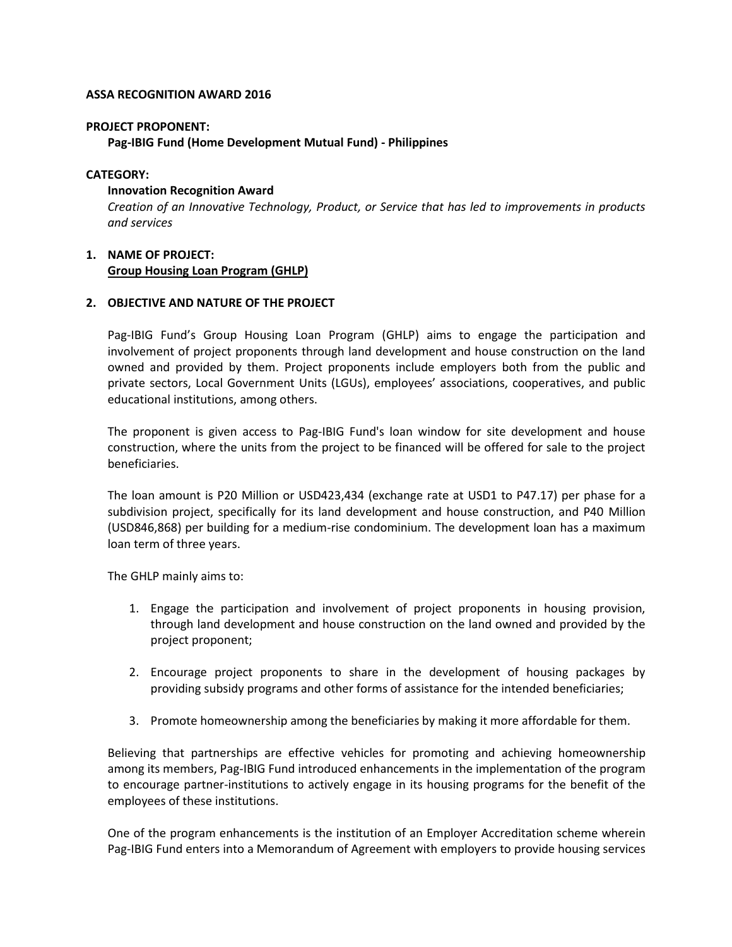## **ASSA RECOGNITION AWARD 2016**

#### **PROJECT PROPONENT:**

**Pag-IBIG Fund (Home Development Mutual Fund) - Philippines** 

## **CATEGORY:**

#### **Innovation Recognition Award**

*Creation of an Innovative Technology, Product, or Service that has led to improvements in products and services*

# **1. NAME OF PROJECT: Group Housing Loan Program (GHLP)**

## **2. OBJECTIVE AND NATURE OF THE PROJECT**

Pag-IBIG Fund's Group Housing Loan Program (GHLP) aims to engage the participation and involvement of project proponents through land development and house construction on the land owned and provided by them. Project proponents include employers both from the public and private sectors, Local Government Units (LGUs), employees' associations, cooperatives, and public educational institutions, among others.

The proponent is given access to Pag-IBIG Fund's loan window for site development and house construction, where the units from the project to be financed will be offered for sale to the project beneficiaries.

The loan amount is P20 Million or USD423,434 (exchange rate at USD1 to P47.17) per phase for a subdivision project, specifically for its land development and house construction, and P40 Million (USD846,868) per building for a medium-rise condominium. The development loan has a maximum loan term of three years.

The GHLP mainly aims to:

- 1. Engage the participation and involvement of project proponents in housing provision, through land development and house construction on the land owned and provided by the project proponent;
- 2. Encourage project proponents to share in the development of housing packages by providing subsidy programs and other forms of assistance for the intended beneficiaries;
- 3. Promote homeownership among the beneficiaries by making it more affordable for them.

Believing that partnerships are effective vehicles for promoting and achieving homeownership among its members, Pag-IBIG Fund introduced enhancements in the implementation of the program to encourage partner-institutions to actively engage in its housing programs for the benefit of the employees of these institutions.

One of the program enhancements is the institution of an Employer Accreditation scheme wherein Pag-IBIG Fund enters into a Memorandum of Agreement with employers to provide housing services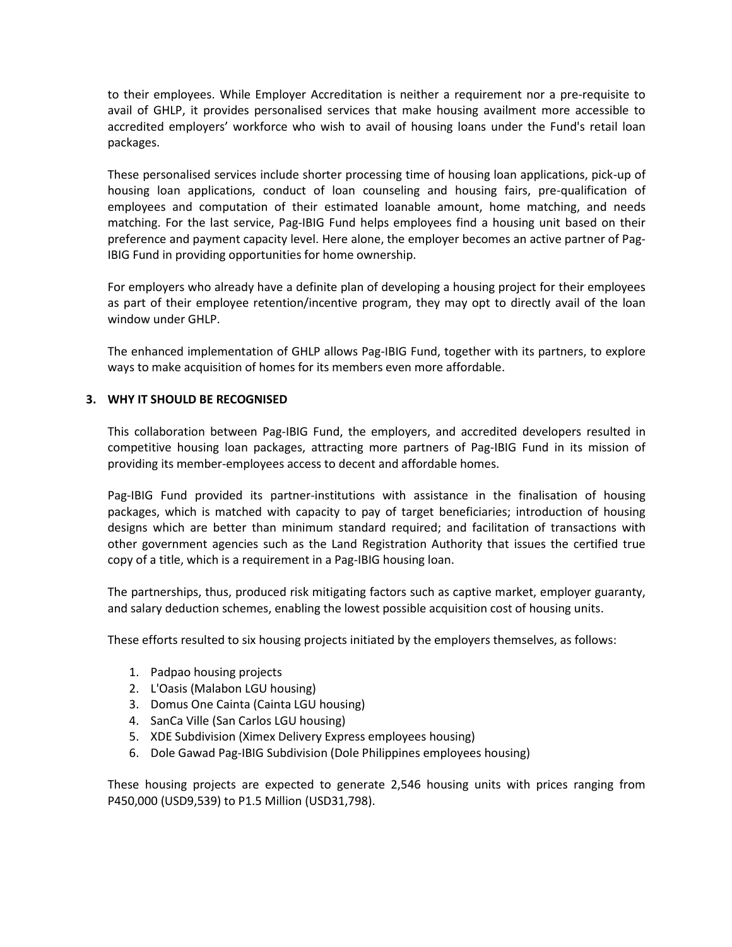to their employees. While Employer Accreditation is neither a requirement nor a pre-requisite to avail of GHLP, it provides personalised services that make housing availment more accessible to accredited employers' workforce who wish to avail of housing loans under the Fund's retail loan packages.

These personalised services include shorter processing time of housing loan applications, pick-up of housing loan applications, conduct of loan counseling and housing fairs, pre-qualification of employees and computation of their estimated loanable amount, home matching, and needs matching. For the last service, Pag-IBIG Fund helps employees find a housing unit based on their preference and payment capacity level. Here alone, the employer becomes an active partner of Pag-IBIG Fund in providing opportunities for home ownership.

For employers who already have a definite plan of developing a housing project for their employees as part of their employee retention/incentive program, they may opt to directly avail of the loan window under GHLP.

The enhanced implementation of GHLP allows Pag-IBIG Fund, together with its partners, to explore ways to make acquisition of homes for its members even more affordable.

## **3. WHY IT SHOULD BE RECOGNISED**

This collaboration between Pag-IBIG Fund, the employers, and accredited developers resulted in competitive housing loan packages, attracting more partners of Pag-IBIG Fund in its mission of providing its member-employees access to decent and affordable homes.

Pag-IBIG Fund provided its partner-institutions with assistance in the finalisation of housing packages, which is matched with capacity to pay of target beneficiaries; introduction of housing designs which are better than minimum standard required; and facilitation of transactions with other government agencies such as the Land Registration Authority that issues the certified true copy of a title, which is a requirement in a Pag-IBIG housing loan.

The partnerships, thus, produced risk mitigating factors such as captive market, employer guaranty, and salary deduction schemes, enabling the lowest possible acquisition cost of housing units.

These efforts resulted to six housing projects initiated by the employers themselves, as follows:

- 1. Padpao housing projects
- 2. L'Oasis (Malabon LGU housing)
- 3. Domus One Cainta (Cainta LGU housing)
- 4. SanCa Ville (San Carlos LGU housing)
- 5. XDE Subdivision (Ximex Delivery Express employees housing)
- 6. Dole Gawad Pag-IBIG Subdivision (Dole Philippines employees housing)

These housing projects are expected to generate 2,546 housing units with prices ranging from P450,000 (USD9,539) to P1.5 Million (USD31,798).